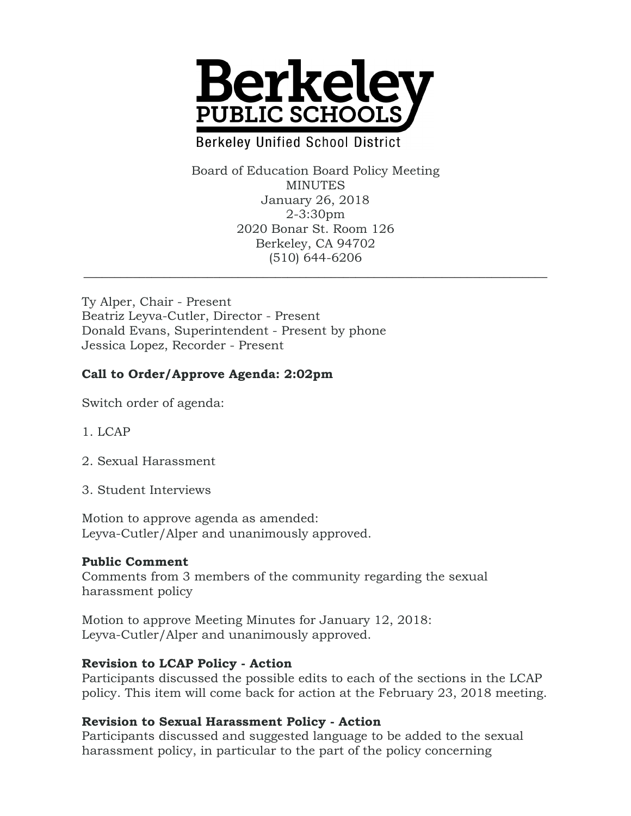

# **Berkeley Unified School District**

Board of Education Board Policy Meeting MINUTES January 26, 2018 2-3:30pm 2020 Bonar St. Room 126 Berkeley, CA 94702 (510) 644-6206

\_\_\_\_\_\_\_\_\_\_\_\_\_\_\_\_\_\_\_\_\_\_\_\_\_\_\_\_\_\_\_\_\_\_\_\_\_\_\_\_\_\_\_\_\_\_\_\_\_\_\_\_\_\_\_\_\_\_\_\_\_\_\_\_\_\_\_\_\_\_\_\_\_\_\_

Ty Alper, Chair - Present Beatriz Leyva-Cutler, Director - Present Donald Evans, Superintendent - Present by phone Jessica Lopez, Recorder - Present

### **Call to Order/Approve Agenda: 2:02pm**

Switch order of agenda:

- 1. LCAP
- 2. Sexual Harassment
- 3. Student Interviews

Motion to approve agenda as amended: Leyva-Cutler/Alper and unanimously approved.

#### **Public Comment**

Comments from 3 members of the community regarding the sexual harassment policy

Motion to approve Meeting Minutes for January 12, 2018: Leyva-Cutler/Alper and unanimously approved.

### **Revision to LCAP Policy - Action**

Participants discussed the possible edits to each of the sections in the LCAP policy. This item will come back for action at the February 23, 2018 meeting.

### **Revision to Sexual Harassment Policy - Action**

Participants discussed and suggested language to be added to the sexual harassment policy, in particular to the part of the policy concerning